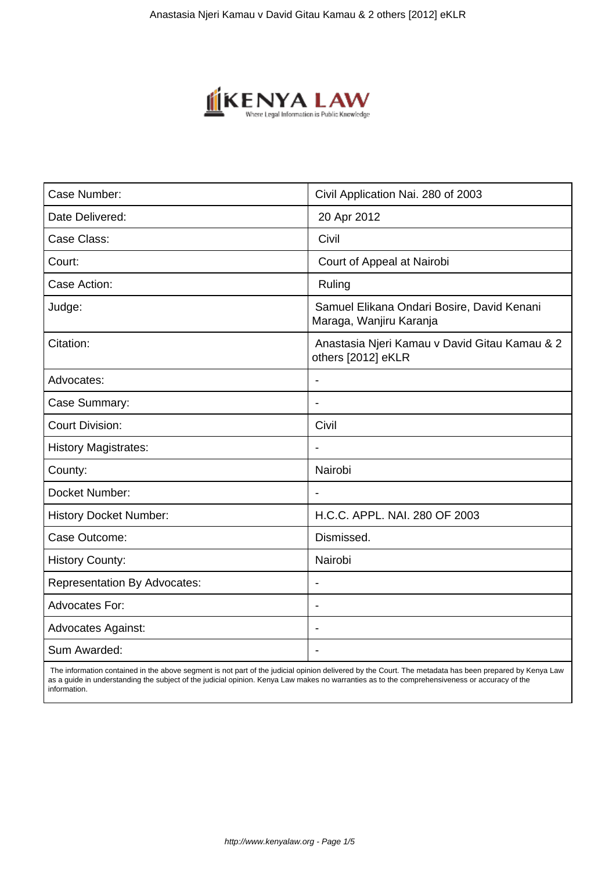

| Case Number:                        | Civil Application Nai. 280 of 2003                                    |
|-------------------------------------|-----------------------------------------------------------------------|
| Date Delivered:                     | 20 Apr 2012                                                           |
| Case Class:                         | Civil                                                                 |
| Court:                              | Court of Appeal at Nairobi                                            |
| Case Action:                        | Ruling                                                                |
| Judge:                              | Samuel Elikana Ondari Bosire, David Kenani<br>Maraga, Wanjiru Karanja |
| Citation:                           | Anastasia Njeri Kamau v David Gitau Kamau & 2<br>others [2012] eKLR   |
| Advocates:                          |                                                                       |
| Case Summary:                       | $\blacksquare$                                                        |
| <b>Court Division:</b>              | Civil                                                                 |
| <b>History Magistrates:</b>         |                                                                       |
| County:                             | Nairobi                                                               |
| Docket Number:                      | $\blacksquare$                                                        |
| <b>History Docket Number:</b>       | H.C.C. APPL. NAI. 280 OF 2003                                         |
| Case Outcome:                       | Dismissed.                                                            |
| <b>History County:</b>              | Nairobi                                                               |
| <b>Representation By Advocates:</b> | $\blacksquare$                                                        |
| <b>Advocates For:</b>               | ÷.                                                                    |
| <b>Advocates Against:</b>           |                                                                       |
| Sum Awarded:                        |                                                                       |
|                                     |                                                                       |

 The information contained in the above segment is not part of the judicial opinion delivered by the Court. The metadata has been prepared by Kenya Law as a guide in understanding the subject of the judicial opinion. Kenya Law makes no warranties as to the comprehensiveness or accuracy of the information.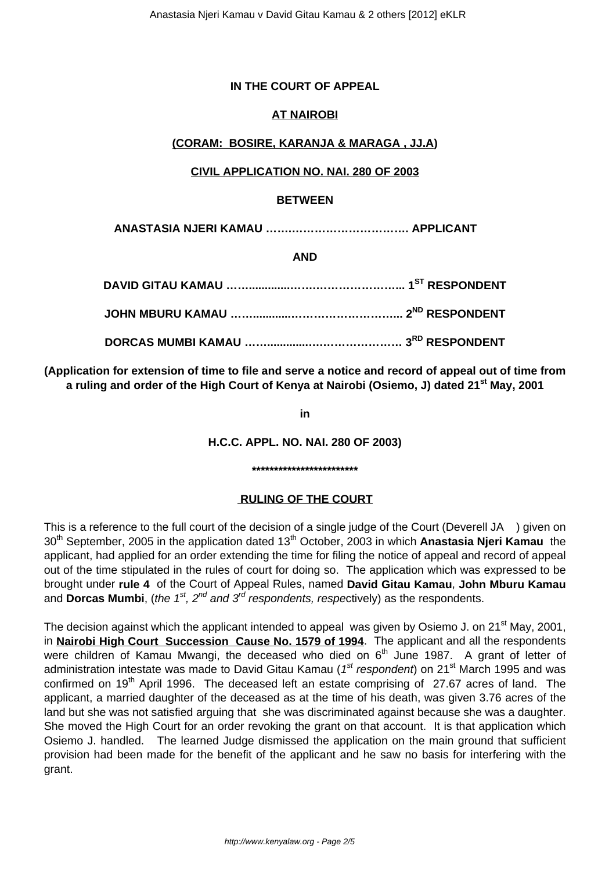# **IN THE COURT OF APPEAL**

# **AT NAIROBI**

# **(CORAM: BOSIRE, KARANJA & MARAGA , JJ.A)**

#### **CIVIL APPLICATION NO. NAI. 280 OF 2003**

#### **BETWEEN**

**ANASTASIA NJERI KAMAU …….…………………………. APPLICANT**

**AND**

**(Application for extension of time to file and serve a notice and record of appeal out of time from a ruling and order of the High Court of Kenya at Nairobi (Osiemo, J) dated 21st May, 2001**

**in**

**H.C.C. APPL. NO. NAI. 280 OF 2003)**

#### **\*\*\*\*\*\*\*\*\*\*\*\*\*\*\*\*\*\*\*\*\*\*\*\***

# **RULING OF THE COURT**

This is a reference to the full court of the decision of a single judge of the Court (Deverell JA ) given on 30<sup>th</sup> September, 2005 in the application dated 13<sup>th</sup> October, 2003 in which **Anastasia Njeri Kamau** the applicant, had applied for an order extending the time for filing the notice of appeal and record of appeal out of the time stipulated in the rules of court for doing so. The application which was expressed to be brought under **rule 4** of the Court of Appeal Rules, named **David Gitau Kamau**, **John Mburu Kamau** and **Dorcas Mumbi**, (the 1<sup>st</sup>, 2<sup>nd</sup> and 3<sup>rd</sup> respondents, respectively) as the respondents.

The decision against which the applicant intended to appeal was given by Osiemo J. on 21<sup>st</sup> May, 2001, in **Nairobi High Court Succession Cause No. 1579 of 1994**. The applicant and all the respondents were children of Kamau Mwangi, the deceased who died on  $6<sup>th</sup>$  June 1987. A grant of letter of administration intestate was made to David Gitau Kamau (1<sup>st</sup> respondent) on 21<sup>st</sup> March 1995 and was confirmed on 19<sup>th</sup> April 1996. The deceased left an estate comprising of 27.67 acres of land. The applicant, a married daughter of the deceased as at the time of his death, was given 3.76 acres of the land but she was not satisfied arguing that she was discriminated against because she was a daughter. She moved the High Court for an order revoking the grant on that account. It is that application which Osiemo J. handled. The learned Judge dismissed the application on the main ground that sufficient provision had been made for the benefit of the applicant and he saw no basis for interfering with the grant.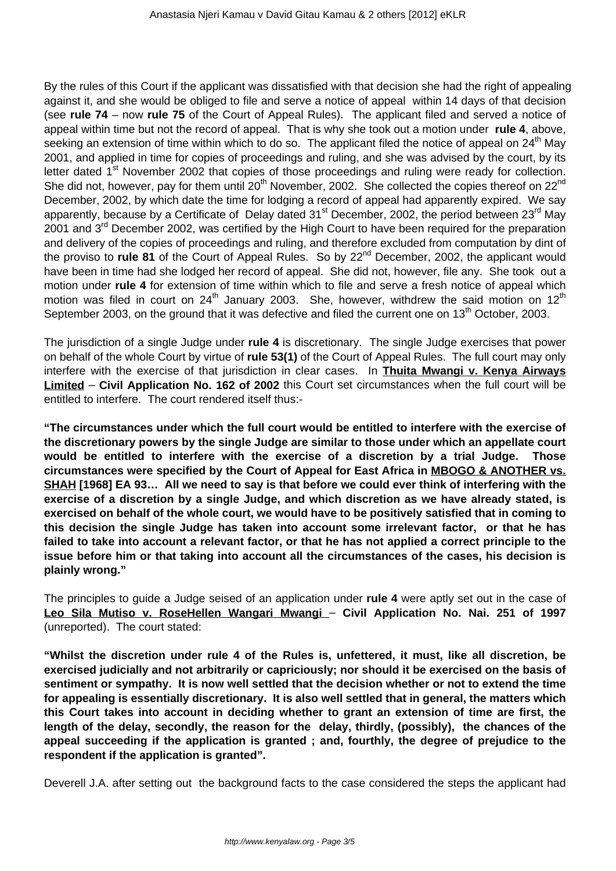By the rules of this Court if the applicant was dissatisfied with that decision she had the right of appealing against it, and she would be obliged to file and serve a notice of appeal within 14 days of that decision (see **rule 74** – now **rule 75** of the Court of Appeal Rules). The applicant filed and served a notice of appeal within time but not the record of appeal. That is why she took out a motion under **rule 4**, above, seeking an extension of time within which to do so. The applicant filed the notice of appeal on 24<sup>th</sup> May 2001, and applied in time for copies of proceedings and ruling, and she was advised by the court, by its letter dated 1<sup>st</sup> November 2002 that copies of those proceedings and ruling were ready for collection. She did not, however, pay for them until 20<sup>th</sup> November, 2002. She collected the copies thereof on 22<sup>nd</sup> December, 2002, by which date the time for lodging a record of appeal had apparently expired. We say apparently, because by a Certificate of Delay dated  $31<sup>st</sup>$  December, 2002, the period between  $23<sup>rd</sup>$  May 2001 and  $3<sup>rd</sup>$  December 2002, was certified by the High Court to have been required for the preparation and delivery of the copies of proceedings and ruling, and therefore excluded from computation by dint of the proviso to **rule 81** of the Court of Appeal Rules. So by 22<sup>nd</sup> December, 2002, the applicant would have been in time had she lodged her record of appeal. She did not, however, file any. She took out a motion under **rule 4** for extension of time within which to file and serve a fresh notice of appeal which motion was filed in court on  $24<sup>th</sup>$  January 2003. She, however, withdrew the said motion on  $12<sup>th</sup>$ September 2003, on the ground that it was defective and filed the current one on 13<sup>th</sup> October. 2003.

The jurisdiction of a single Judge under **rule 4** is discretionary. The single Judge exercises that power on behalf of the whole Court by virtue of **rule 53(1)** of the Court of Appeal Rules. The full court may only interfere with the exercise of that jurisdiction in clear cases. In **Thuita Mwangi v. Kenya Airways Limited** – **Civil Application No. 162 of 2002** this Court set circumstances when the full court will be entitled to interfere. The court rendered itself thus:-

**"The circumstances under which the full court would be entitled to interfere with the exercise of the discretionary powers by the single Judge are similar to those under which an appellate court would be entitled to interfere with the exercise of a discretion by a trial Judge. Those circumstances were specified by the Court of Appeal for East Africa in MBOGO & ANOTHER vs. SHAH [1968] EA 93… All we need to say is that before we could ever think of interfering with the exercise of a discretion by a single Judge, and which discretion as we have already stated, is exercised on behalf of the whole court, we would have to be positively satisfied that in coming to this decision the single Judge has taken into account some irrelevant factor, or that he has failed to take into account a relevant factor, or that he has not applied a correct principle to the issue before him or that taking into account all the circumstances of the cases, his decision is plainly wrong."**

The principles to guide a Judge seised of an application under **rule 4** were aptly set out in the case of **Leo Sila Mutiso v. RoseHellen Wangari Mwangi** – **Civil Application No. Nai. 251 of 1997** (unreported). The court stated:

**"Whilst the discretion under rule 4 of the Rules is, unfettered, it must, like all discretion, be exercised judicially and not arbitrarily or capriciously; nor should it be exercised on the basis of sentiment or sympathy. It is now well settled that the decision whether or not to extend the time for appealing is essentially discretionary. It is also well settled that in general, the matters which this Court takes into account in deciding whether to grant an extension of time are first, the length of the delay, secondly, the reason for the delay, thirdly, (possibly), the chances of the appeal succeeding if the application is granted ; and, fourthly, the degree of prejudice to the respondent if the application is granted".**

Deverell J.A. after setting out the background facts to the case considered the steps the applicant had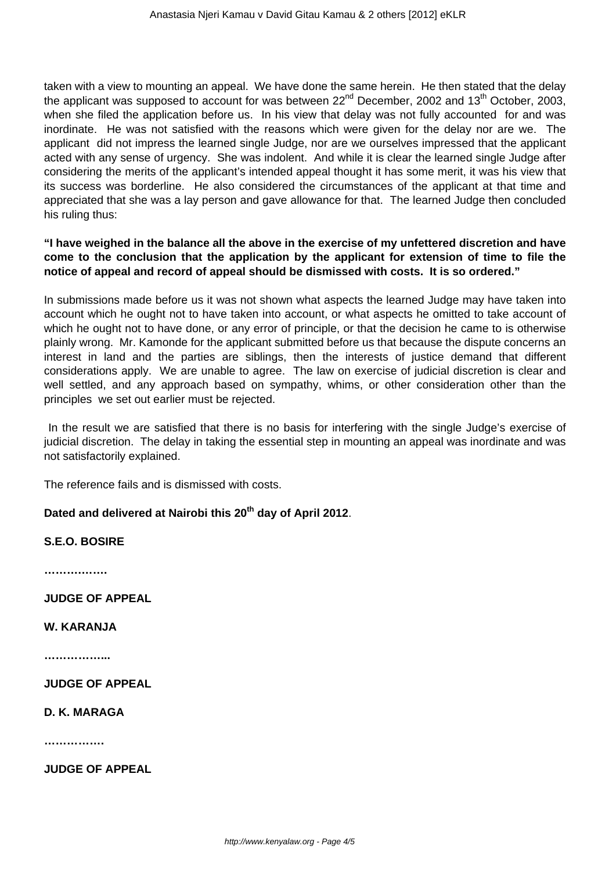taken with a view to mounting an appeal. We have done the same herein. He then stated that the delay the applicant was supposed to account for was between  $22<sup>nd</sup>$  December, 2002 and 13<sup>th</sup> October, 2003, when she filed the application before us. In his view that delay was not fully accounted for and was inordinate. He was not satisfied with the reasons which were given for the delay nor are we. The applicant did not impress the learned single Judge, nor are we ourselves impressed that the applicant acted with any sense of urgency. She was indolent. And while it is clear the learned single Judge after considering the merits of the applicant's intended appeal thought it has some merit, it was his view that its success was borderline. He also considered the circumstances of the applicant at that time and appreciated that she was a lay person and gave allowance for that. The learned Judge then concluded his ruling thus:

# **"I have weighed in the balance all the above in the exercise of my unfettered discretion and have come to the conclusion that the application by the applicant for extension of time to file the notice of appeal and record of appeal should be dismissed with costs. It is so ordered."**

In submissions made before us it was not shown what aspects the learned Judge may have taken into account which he ought not to have taken into account, or what aspects he omitted to take account of which he ought not to have done, or any error of principle, or that the decision he came to is otherwise plainly wrong. Mr. Kamonde for the applicant submitted before us that because the dispute concerns an interest in land and the parties are siblings, then the interests of justice demand that different considerations apply. We are unable to agree. The law on exercise of judicial discretion is clear and well settled, and any approach based on sympathy, whims, or other consideration other than the principles we set out earlier must be rejected.

In the result we are satisfied that there is no basis for interfering with the single Judge's exercise of judicial discretion. The delay in taking the essential step in mounting an appeal was inordinate and was not satisfactorily explained.

The reference fails and is dismissed with costs.

# **Dated and delivered at Nairobi this 20th day of April 2012**.

# **S.E.O. BOSIRE**

**……….…….**

**JUDGE OF APPEAL**

#### **W. KARANJA**

**……………...**

**JUDGE OF APPEAL**

#### **D. K. MARAGA**

**…………….**

**JUDGE OF APPEAL**